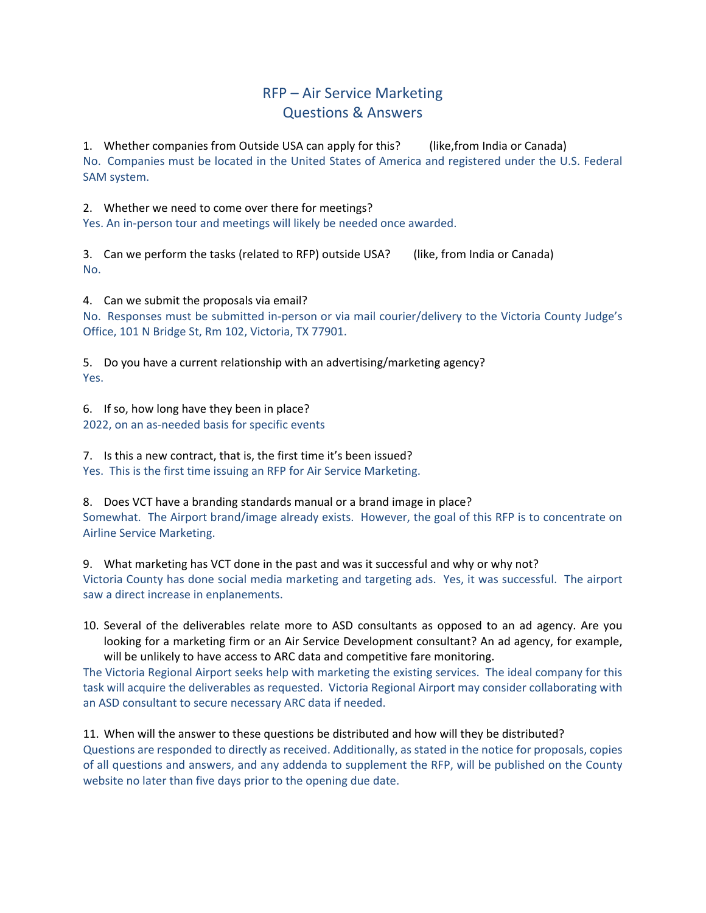## RFP – Air Service Marketing Questions & Answers

1. Whether companies from Outside USA can apply for this? (like,from India or Canada) No. Companies must be located in the United States of America and registered under the U.S. Federal SAM system.

2. Whether we need to come over there for meetings?

Yes. An in-person tour and meetings will likely be needed once awarded.

3. Can we perform the tasks (related to RFP) outside USA? (like, from India or Canada) No.

4. Can we submit the proposals via email?

No. Responses must be submitted in-person or via mail courier/delivery to the Victoria County Judge's Office, 101 N Bridge St, Rm 102, Victoria, TX 77901.

5. Do you have a current relationship with an advertising/marketing agency? Yes.

6. If so, how long have they been in place? 2022, on an as-needed basis for specific events

7. Is this a new contract, that is, the first time it's been issued? Yes. This is the first time issuing an RFP for Air Service Marketing.

8. Does VCT have a branding standards manual or a brand image in place? Somewhat. The Airport brand/image already exists. However, the goal of this RFP is to concentrate on Airline Service Marketing.

9. What marketing has VCT done in the past and was it successful and why or why not? Victoria County has done social media marketing and targeting ads. Yes, it was successful. The airport saw a direct increase in enplanements.

10. Several of the deliverables relate more to ASD consultants as opposed to an ad agency. Are you looking for a marketing firm or an Air Service Development consultant? An ad agency, for example, will be unlikely to have access to ARC data and competitive fare monitoring.

The Victoria Regional Airport seeks help with marketing the existing services. The ideal company for this task will acquire the deliverables as requested. Victoria Regional Airport may consider collaborating with an ASD consultant to secure necessary ARC data if needed.

11. When will the answer to these questions be distributed and how will they be distributed?

Questions are responded to directly as received. Additionally, as stated in the notice for proposals, copies of all questions and answers, and any addenda to supplement the RFP, will be published on the County website no later than five days prior to the opening due date.